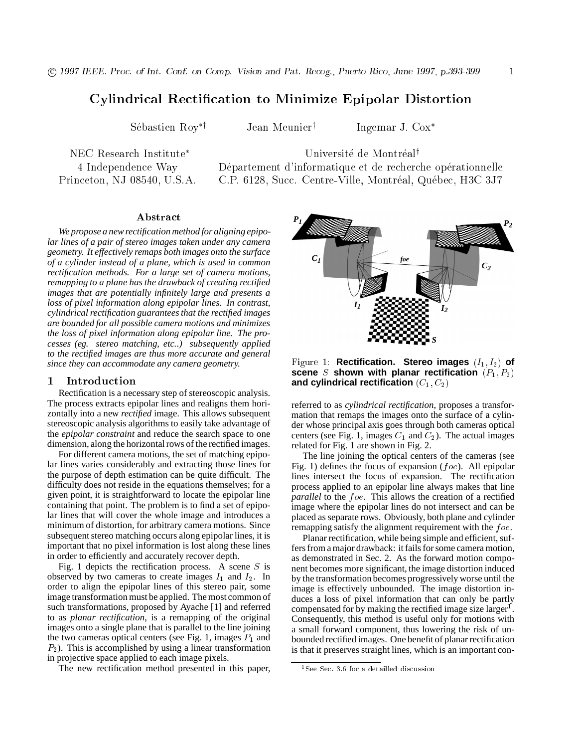# Cylindrical Rectication to Minimize Epipolar Distortion

Sébastien Roy<sup>\*†</sup>

Jean Meunier<sup>†</sup>

Ingemar J. Cox

NEC Research Institute

Université de Montréal<sup>†</sup> 4 Independence Way Departement d'informatique et de recherche operationnelle Princeton, NJ 08540, U.S.A. C.P. 6128, Succ. Centre-Ville, Montreal, Quebec, H3C 3J7

# Abstract

*We propose a new rectification method for aligning epipolar lines of a pair of stereo images taken under any camera geometry. It effectively remaps both images onto the surface of a cylinder instead of a plane, which is used in common rectification methods. For a large set of camera motions, remapping to a plane has the drawback of creating rectified images that are potentially infinitely large and presents a loss of pixel information along epipolar lines. In contrast, cylindrical rectification guarantees that the rectified images are bounded for all possible camera motions and minimizes the loss of pixel information along epipolar line. The processes (eg. stereo matching, etc..) subsequently applied to the rectified images are thus more accurate and general since they can accommodate any camera geometry.*

### $\mathbf{1}$

Rectification is a necessary step of stereoscopic analysis. The process extracts epipolar lines and realigns them horizontally into a new *rectified* image. This allows subsequent stereoscopic analysis algorithms to easily take advantage of the *epipolar constraint* and reduce the search space to one dimension, along the horizontal rows of the rectified images.

For different camera motions, the set of matching epipolar lines varies considerably and extracting those lines for the purpose of depth estimation can be quite difficult. The difficulty does not reside in the equations themselves; for a given point, it is straightforward to locate the epipolar line containing that point. The problem is to find a set of epipolar lines that will cover the whole image and introduces a minimum of distortion, for arbitrary camera motions. Since subsequent stereo matching occurs along epipolar lines, it is important that no pixel information is lost along these lines in order to efficiently and accurately recover depth.

Fig. 1 depicts the rectification process. A scene  $S$  is observed by two cameras to create images  $I_1$  and  $I_2$ . In order to align the epipolar lines of this stereo pair, some image transformation must be applied. The most common of such transformations, proposed by Ayache [1] and referred to as *planar rectification*, is a remapping of the original images onto a single plane that is parallel to the line joining the two cameras optical centers (see Fig. 1, images  $P_1$  and  $P<sub>2</sub>$ ). This is accomplished by using a linear transformation in projective space applied to each image pixels.

The new rectification method presented in this paper,



Figure 1: **Rectification. Stereo images**  $(I_1, I_2)$  of **scene** S **shown with planar rectification**  $(P_1, P_2)$ and cylindrical rectification  $(C_1, C_2)$ 

referred to as *cylindrical rectification*, proposes a transformation that remaps the images onto the surface of a cylinder whose principal axis goes through both cameras optical centers (see Fig. 1, images  $C_1$  and  $C_2$ ). The actual images related for Fig. 1 are shown in Fig. 2.

The line joining the optical centers of the cameras (see Fig. 1) defines the focus of expansion ( $foe$ ). All epipolar lines intersect the focus of expansion. The rectification process applied to an epipolar line always makes that line *parallel* to the foe. This allows the creation of a rectified image where the epipolar lines do not intersect and can be placed as separate rows. Obviously, both plane and cylinder remapping satisfy the alignment requirement with the  $foe$ .

Planar rectification, while being simple and efficient, suffers from a major drawback: it fails for some camera motion, as demonstrated in Sec. 2. As the forward motion component becomes more significant, the image distortion induced by the transformation becomes progressively worse until the image is effectively unbounded. The image distortion induces a loss of pixel information that can only be partly compensated for by making the rectified image size larger<sup>1</sup>. Consequently, this method is useful only for motions with a small forward component, thus lowering the risk of unbounded rectified images. One benefit of planar rectification is that it preserves straight lines, which is an important con-

<sup>1</sup> See Sec. 3.6 for a detailled discussion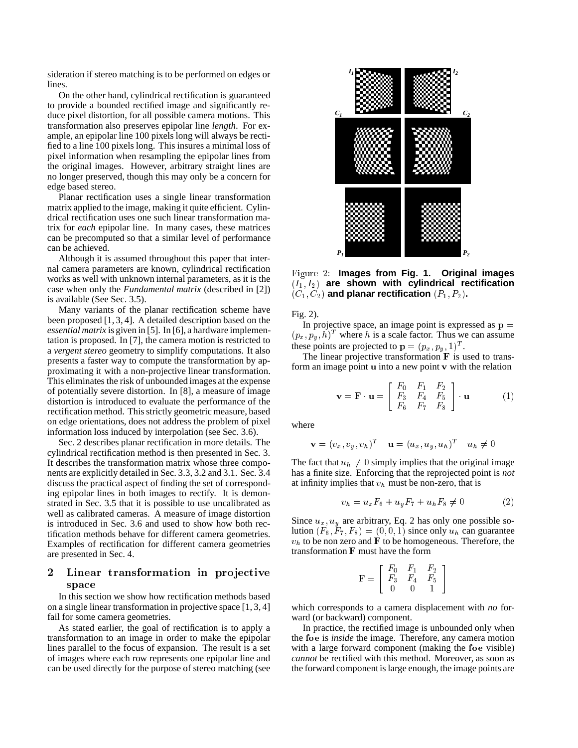sideration if stereo matching is to be performed on edges or lines.

On the other hand, cylindrical rectification is guaranteed to provide a bounded rectified image and significantly reduce pixel distortion, for all possible camera motions. This transformation also preserves epipolar line *length*. For example, an epipolar line 100 pixels long will always be rectified to a line 100 pixels long. This insures a minimal loss of pixel information when resampling the epipolar lines from the original images. However, arbitrary straight lines are no longer preserved, though this may only be a concern for edge based stereo.

Planar rectification uses a single linear transformation matrix applied to the image, making it quite efficient. Cylindrical rectification uses one such linear transformation matrix for *each* epipolar line. In many cases, these matrices can be precomputed so that a similar level of performance can be achieved.

Although it is assumed throughout this paper that internal camera parameters are known, cylindrical rectification works as well with unknown internal parameters, as it is the case when only the *Fundamental matrix* (described in [2]) is available (See Sec. 3.5).

Many variants of the planar rectification scheme have been proposed [1, 3, 4]. A detailed description based on the *essential matrix* is given in [5]. In [6], a hardware implementation is proposed. In [7], the camera motion is restricted to a *vergent stereo* geometry to simplify computations. It also presents a faster way to compute the transformation by approximating it with a non-projective linear transformation. This eliminates the risk of unbounded images at the expense of potentially severe distortion. In [8], a measure of image distortion is introduced to evaluate the performance of the rectification method. This strictly geometric measure, based on edge orientations, does not address the problem of pixel information loss induced by interpolation (see Sec. 3.6).

Sec. 2 describes planar rectification in more details. The cylindrical rectification method is then presented in Sec. 3. It describes the transformation matrix whose three components are explicitly detailed in Sec. 3.3, 3.2 and 3.1. Sec. 3.4 discuss the practical aspect of finding the set of corresponding epipolar lines in both images to rectify. It is demonstrated in Sec. 3.5 that it is possible to use uncalibrated as well as calibrated cameras. A measure of image distortion is introduced in Sec. 3.6 and used to show how both rectification methods behave for different camera geometries. Examples of rectification for different camera geometries are presented in Sec. 4.

# <sup>2</sup> Linear transformation in pro jective space

In this section we show how rectification methods based on a single linear transformation in projective space [1, 3, 4] fail for some camera geometries.

As stated earlier, the goal of rectification is to apply a transformation to an image in order to make the epipolar lines parallel to the focus of expansion. The result is a set of images where each row represents one epipolar line and can be used directly for the purpose of stereo matching (see



Figure 2: **Images from Fig. 1. Original images**  $(I_1, I_2)$  are shown with cylindrical rectification  $(C_1, C_2)$  and planar rectification  $(P_1, P_2)$ .

Fig. 2).

In projective space, an image point is expressed as  $p =$  $(p_x, p_y, h)^T$  where h is a scale factor. Thus we can assume these points are projected to  $\mathbf{p} = (p_x, p_y, 1)^T$ .

The linear projective transformation  $\bf{F}$  is used to transform an image point <sup>u</sup> into a new point <sup>v</sup> with the relation

$$
\mathbf{v} = \mathbf{F} \cdot \mathbf{u} = \begin{bmatrix} F_0 & F_1 & F_2 \\ F_3 & F_4 & F_5 \\ F_6 & F_7 & F_8 \end{bmatrix} \cdot \mathbf{u} \tag{1}
$$

where

$$
\mathbf{v} = (v_x, v_y, v_h)^T \quad \mathbf{u} = (u_x, u_y, u_h)^T \quad u_h \neq 0
$$

The fact that  $u_h \neq 0$  simply implies that the original image has a finite size. Enforcing that the reprojected point is *not* at infinity implies that  $v_h$  must be non-zero, that is

$$
v_h = u_x F_6 + u_y F_7 + u_h F_8 \neq 0 \tag{2}
$$

#

Since  $u_x$ ,  $u_y$  are arbitrary, Eq. 2 has only one possible solution  $(F_6, F_7, F_8) = (0, 0, 1)$  since only  $u_h$  can guarantee  $v_h$  to be non zero and F to be homogeneous. Therefore, the transformation <sup>F</sup> must have the form

$$
\mathbf{F} = \left[ \begin{array}{ccc} F_0 & F_1 & F_2 \\ F_3 & F_4 & F_5 \\ 0 & 0 & 1 \end{array} \right]
$$

which corresponds to a camera displacement with *no* forward (or backward) component.

In practice, the rectified image is unbounded only when the foe is *inside* the image. Therefore, any camera motion with a large forward component (making the foe visible) *cannot* be rectified with this method. Moreover, as soon as the forward component is large enough, the image points are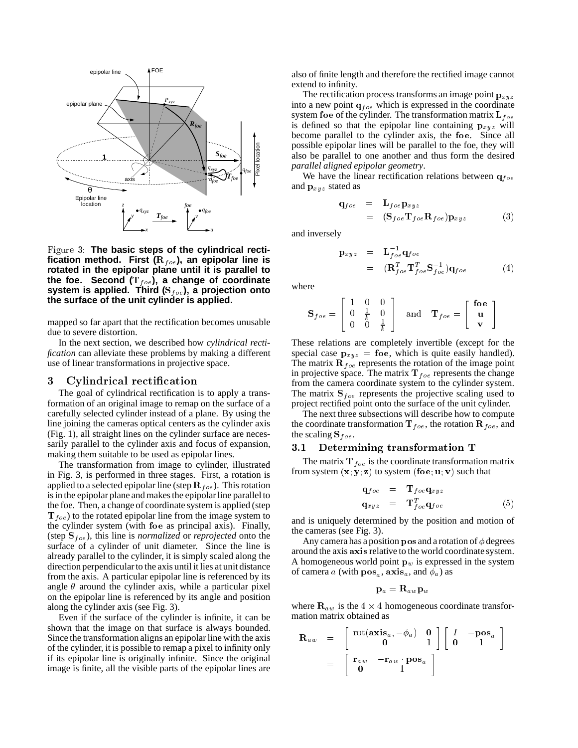

Figure 3: **The basic steps of the cylindrical recti**fication method. First ( $\mathbf{R}_{foe}$ ), an epipolar line is **rotated in the epipolar plane until it is parallel to** the foe. Second  $(T_{foe})$ , a change of coordinate system is applied. Third (S<sub>foe</sub>), a projection onto **the surface of the unit cylinder is applied.**

mapped so far apart that the rectification becomes unusable due to severe distortion.

In the next section, we described how *cylindrical rectification* can alleviate these problems by making a different use of linear transformations in projective space.

# 3 Cylindrical rectification

The goal of cylindrical rectification is to apply a transformation of an original image to remap on the surface of a carefully selected cylinder instead of a plane. By using the line joining the cameras optical centers as the cylinder axis (Fig. 1), all straight lines on the cylinder surface are necessarily parallel to the cylinder axis and focus of expansion, making them suitable to be used as epipolar lines.

The transformation from image to cylinder, illustrated in Fig. 3, is performed in three stages. First, a rotation is applied to a selected epipolar line (step  $\mathbf{R}_{f \circ e}$ ). This rotation is in the epipolar plane and makes the epipolar line parallel to the foe. Then, a change of coordinate system is applied (step  $T_{foe}$ ) to the rotated epipolar line from the image system to the cylinder system (with foe as principal axis). Finally, (step  $S_{foe}$ ), this line is *normalized* or *reprojected* onto the surface of a cylinder of unit diameter. Since the line is already parallel to the cylinder, it is simply scaled along the direction perpendicular to the axis until it lies at unit distance from the axis. A particular epipolar line is referenced by its angle  $\theta$  around the cylinder axis, while a particular pixel on the epipolar line is referenced by its angle and position along the cylinder axis (see Fig. 3).

Even if the surface of the cylinder is infinite, it can be shown that the image on that surface is always bounded. Since the transformation aligns an epipolar line with the axis of the cylinder, it is possible to remap a pixel to infinity only if its epipolar line is originally infinite. Since the original image is finite, all the visible parts of the epipolar lines are

also of finite length and therefore the rectified image cannot extend to infinity.

The rectification process transforms an image point  ${\bf p}_{xyz}$ into a new point  $q_{f \circ e}$  which is expressed in the coordinate system foe of the cylinder. The transformation matrix  $L_{foe}$ is defined so that the epipolar line containing  $\mathbf{p}_{xyz}$  will become parallel to the cylinder axis, the foe. Since all possible epipolar lines will be parallel to the foe, they will also be parallel to one another and thus form the desired *parallel aligned epipolar geometry*.

We have the linear rectification relations between  $q_{foe}$ and  $\mathbf{p}_{xyz}$  stated as

$$
\mathbf{q}_{foe} = \mathbf{L}_{foe} \mathbf{p}_{xyz} \n= (\mathbf{S}_{foe} \mathbf{T}_{foe} \mathbf{R}_{foe}) \mathbf{p}_{xyz}
$$
\n(3)

and inversely

<sup>2</sup>

$$
\mathbf{p}_{xyz} = \mathbf{L}_{foe}^{-1} \mathbf{q}_{foe} \n= (\mathbf{R}_{foe}^T \mathbf{T}_{foe}^T \mathbf{S}_{foe}^{-1}) \mathbf{q}_{foe}
$$
\n(4)

where

$$
\mathbf{S}_{foe} = \left[ \begin{array}{ccc} 1 & 0 & 0 \\ 0 & \frac{1}{k} & 0 \\ 0 & 0 & \frac{1}{k} \end{array} \right] \quad \text{and} \quad \mathbf{T}_{foe} = \left[ \begin{array}{c} \textbf{foe} \\ \mathbf{u} \\ \mathbf{v} \end{array} \right]
$$

<sup>3</sup>

These relations are completely invertible (except for the special case  $p_{xyz}$  = foe, which is quite easily handled). The matrix  $\mathbf{R}_{foe}$  represents the rotation of the image point in projective space. The matrix  $T_{foe}$  represents the change from the camera coordinate system to the cylinder system. The matrix  $S_{f \circ e}$  represents the projective scaling used to project rectified point onto the surface of the unit cylinder.

The next three subsections will describe how to compute the coordinate transformation  $T_{foe}$ , the rotation  $\mathbf{R}_{foe}$ , and the scaling  $S_{foe}$ .

## 3.1 Determining transformation T

The matrix  $T_{foe}$  is the coordinate transformation matrix from system  $(x, y, z)$  to system (foe;  $u, v$ ) such that

$$
\mathbf{q}_{foe} = \mathbf{T}_{foe} \mathbf{q}_{xyz} \mathbf{q}_{xyz} = \mathbf{T}_{foe}^T \mathbf{q}_{foe}
$$
\n(5)

and is uniquely determined by the position and motion of the cameras (see Fig. 3).

Any camera has a position pos and a rotation of  $\phi$  degrees around the axis axis relative to the world coordinate system. A homogeneous world point  $\mathbf{p}_w$  is expressed in the system of camera a (with  $pos_a$ ,  $axis_a$ , and  $\phi_a$ ) as

$$
\mathbf{p}_a = \mathbf{R}_{a\,w}\mathbf{p}_w
$$

where  $\mathbf{R}_{aw}$  is the 4  $\times$  4 homogeneous coordinate transformation matrix obtained as

$$
\begin{array}{rcl}\n\mathbf{R}_{aw} & = & \left[ \begin{array}{cc} \mathrm{rot}(\mathbf{axis}_a,-\phi_a) & \mathbf{0} \\ \mathbf{0} & 1 \end{array} \right] \left[ \begin{array}{cc} I & -\mathbf{pos}_a \\ \mathbf{0} & 1 \end{array} \right] \\
& = & \left[ \begin{array}{cc} \mathbf{r}_{aw} & -\mathbf{r}_{aw} \cdot \mathbf{pos}_a \\ \mathbf{0} & 1 \end{array} \right]\n\end{array}
$$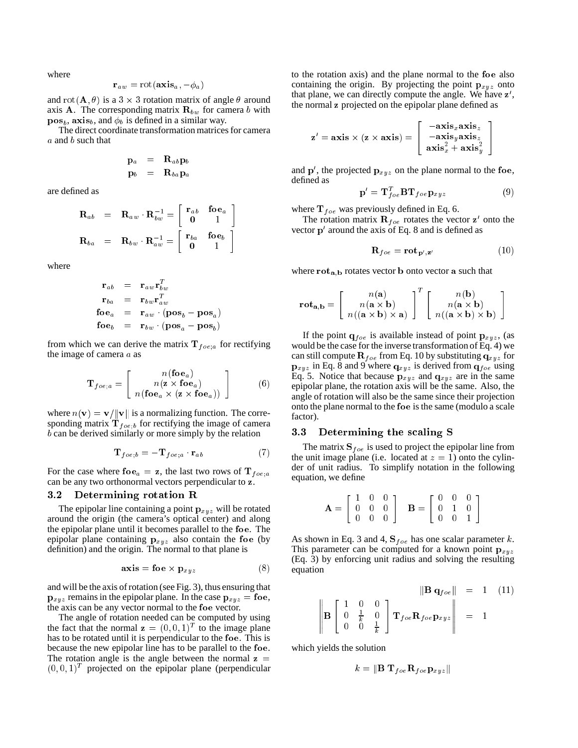where

$$
\mathbf{r}_{aw} = \textrm{rot}(\mathbf{axis}_a, -\phi_a)
$$

and  $\text{rot}(\mathbf{A}, \theta)$  is a  $3 \times 3$  rotation matrix of angle  $\theta$  around axis A. The corresponding matrix  $\mathbf{R}_{bw}$  for camera b with  $pos<sub>b</sub>$ , axis<sub>b</sub>, and  $\phi<sub>b</sub>$  is defined in a similar way.

The direct coordinate transformation matrices for camera a and b such that

$$
\begin{array}{ccc} {\bf p}_a &=& {\bf R}_{ab} {\bf p}_b \\ {\bf p}_b &=& {\bf R}_{ba} {\bf p}_a \end{array}
$$

are defined as

$$
\begin{array}{rcl}\n\mathbf{R}_{ab} & = & \mathbf{R}_{aw} \cdot \mathbf{R}_{bw}^{-1} = \left[ \begin{array}{cc} \mathbf{r}_{ab} & \mathbf{foe}_a \\ 0 & 1 \end{array} \right] \\
\mathbf{R}_{ba} & = & \mathbf{R}_{bw} \cdot \mathbf{R}_{aw}^{-1} = \left[ \begin{array}{cc} \mathbf{r}_{ba} & \mathbf{foe}_b \\ 0 & 1 \end{array} \right]\n\end{array}
$$

where

$$
\begin{array}{rcl} \mathbf{r}_{ab} & = & \mathbf{r}_{aw}\mathbf{r}_{bw}^T \\ \mathbf{r}_{ba} & = & \mathbf{r}_{bw}\mathbf{r}_{aw}^T \\ \mathbf{foe}_a & = & \mathbf{r}_{aw} \cdot (\mathbf{pos}_b - \mathbf{pos}_a) \\ \mathbf{foe}_b & = & \mathbf{r}_{bw} \cdot (\mathbf{pos}_a - \mathbf{pos}_b) \end{array}
$$

from which we can derive the matrix  $T_{foe; a}$  for rectifying the image of camera  $a$  as

$$
\mathbf{T}_{foe;a} = \begin{bmatrix} n(\mathbf{foe}_a) \\ n(\mathbf{z} \times \mathbf{foe}_a) \\ n(\mathbf{foe}_a \times (\mathbf{z} \times \mathbf{foe}_a)) \end{bmatrix}
$$
 (6)

where  $n(\mathbf{v}) = \mathbf{v}/\|\mathbf{v}\|$  is a normalizing function. The corresponding matrix  $T_{f \circ e}$  for rectifying the image of camera <sup>b</sup> can be derived similarly or more simply by the relation

$$
\mathbf{T}_{foe;b} = -\mathbf{T}_{foe;a} \cdot \mathbf{r}_{ab} \tag{7}
$$

For the case where  $f{\bf o}{\bf e}_a = {\bf z}$ , the last two rows of  ${\bf T}_{foe,a}$ can be any two orthonormal vectors perpendicular to <sup>z</sup>.

#### 3.2 Determining rotation R

The epipolar line containing a point  $\mathbf{p}_{xyz}$  will be rotated around the origin (the camera's optical center) and along the epipolar plane until it becomes parallel to the foe. The epipolar plane containing  $\mathbf{p}_{xyz}$  also contain the foe (by definition) and the origin. The normal to that plane is

$$
axis = \mathbf{foe} \times \mathbf{p}_{xyz} \tag{8}
$$

and will be the axis of rotation (see Fig. 3), thus ensuring that  ${\bf p}_{xyz}$  remains in the epipolar plane. In the case  ${\bf p}_{xyz} =$  foe, the axis can be any vector normal to the foe vector.

The angle of rotation needed can be computed by using the fact that the normal  $z = (0, 0, 1)^T$  to the image plane has to be rotated until it is perpendicular to the foe. This is because the new epipolar line has to be parallel to the foe. The rotation angle is the angle between the normal  $z =$  $(0,0,1)^T$  projected on the epipolar plane (perpendicular

to the rotation axis) and the plane normal to the foe also containing the origin. By projecting the point  $\mathbf{p}_{xyz}$  onto that plane, we can directly compute the angle. We have  $z'$ , the normal <sup>z</sup> projected on the epipolar plane defined as

$$
\mathbf{z}' = \mathbf{axis} \times (\mathbf{z} \times \mathbf{axis}) = \begin{bmatrix} -\mathbf{axis}_x \mathbf{axis}_z \\ -\mathbf{axis}_y \mathbf{axis}_z \\ \mathbf{axis}_x^2 + \mathbf{axis}_y^2 \end{bmatrix}
$$

and  $\mathbf{p}'$ , the projected  $\mathbf{p}_{xyz}$  on the plane normal to the foe, defined as

$$
\mathbf{p}' = \mathbf{T}_{foe}^T \mathbf{B} \mathbf{T}_{foe} \mathbf{p}_{xyz} \tag{9}
$$

- 1 55.55

where  $T_{foe}$  was previously defined in Eq. 6.

The rotation matrix  $\mathbf{R}_{foe}$  rotates the vector  $\mathbf{z}'$  onto the vector  $\mathbf{p}'$  around the axis of Eq. 8 and is defined as

$$
\mathbf{R}_{foe} = \mathbf{rot}_{\mathbf{p}',\mathbf{z}'} \tag{10}
$$

where  $\text{rot}_{a,b}$  rotates vector b onto vector a such that

$$
\mathbf{rot}_{\mathbf{a},\mathbf{b}} = \begin{bmatrix} n(\mathbf{a}) \\ n(\mathbf{a} \times \mathbf{b}) \\ n((\mathbf{a} \times \mathbf{b}) \times \mathbf{a}) \end{bmatrix}^T \begin{bmatrix} n(\mathbf{b}) \\ n(\mathbf{a} \times \mathbf{b}) \\ n((\mathbf{a} \times \mathbf{b}) \times \mathbf{b}) \end{bmatrix}
$$

If the point  $q_{f \circ e}$  is available instead of point  $p_{xyz}$ , (as would be the case for the inverse transformation of Eq. 4) we can still compute  $\mathbf{R}_{f \circ e}$  from Eq. 10 by substituting  $\mathbf{q}_{xyz}$  for  $\mathbf{p}_{xyz}$  in Eq. 8 and 9 where  $\mathbf{q}_{xyz}$  is derived from  $\mathbf{q}_{foe}$  using Eq. 5. Notice that because  $p_{xyz}$  and  $q_{xyz}$  are in the same epipolar plane, the rotation axis will be the same. Also, the angle of rotation will also be the same since their projection onto the plane normal to the foe is the same (modulo a scale factor).

#### 3.3 Determining the scaling S

The matrix  $S_{foe}$  is used to project the epipolar line from the unit image plane (i.e. located at  $z = 1$ ) onto the cylinder of unit radius. To simplify notation in the following equation, we define

$$
\mathbf{A} = \left[ \begin{array}{ccc} 1 & 0 & 0 \\ 0 & 0 & 0 \\ 0 & 0 & 0 \end{array} \right] \quad \mathbf{B} = \left[ \begin{array}{ccc} 0 & 0 & 0 \\ 0 & 1 & 0 \\ 0 & 0 & 1 \end{array} \right]
$$

As shown in Eq. 3 and 4,  $\mathbf{S}_{f \circ e}$  has one scalar parameter k. This parameter can be computed for a known point  $p_{xyz}$ (Eq. 3) by enforcing unit radius and solving the resulting equation

$$
\begin{array}{rcl}\n\|\mathbf{B} \mathbf{q}_{foe}\| & = & 1 \quad (11) \\
\mathbf{B} \begin{bmatrix} 1 & 0 & 0 \\
0 & \frac{1}{k} & 0 \\
0 & 0 & \frac{1}{k} \end{bmatrix} \mathbf{T}_{foe} \mathbf{R}_{foe} \mathbf{p}_{xyz}\n\end{array}
$$

which yields the solution

$$
k = \|\mathbf{B} \mathbf{T}_{foe} \mathbf{R}_{foe} \mathbf{p}_{xyz}\|
$$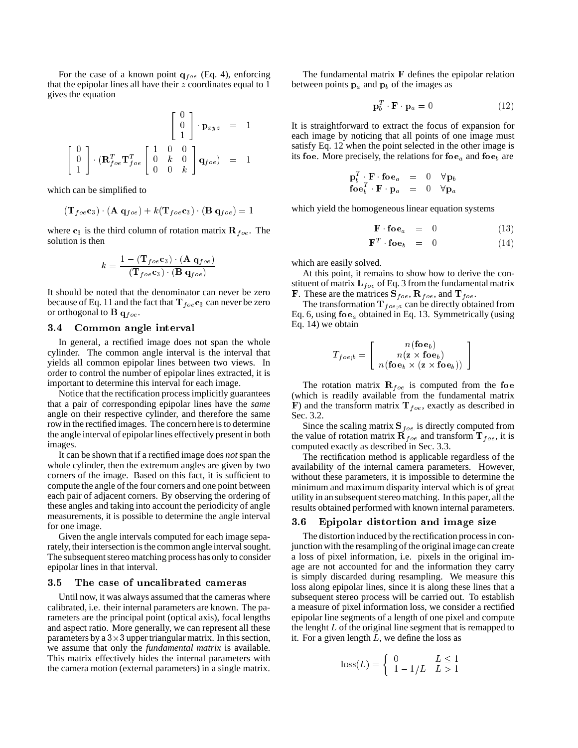For the case of a known point  $q_{foe}$  (Eq. 4), enforcing that the epipolar lines all have their  $z$  coordinates equal to 1 gives the equation

$$
\begin{bmatrix}\n0 \\
0 \\
1\n\end{bmatrix} \cdot \mathbf{p}_{xyz} = 1
$$
\n
$$
\begin{bmatrix}\n0 \\
0 \\
1\n\end{bmatrix} \cdot (\mathbf{R}_{foe}^T \mathbf{T}_{foe}^T) \begin{bmatrix}\n1 & 0 & 0 \\
0 & k & 0 \\
0 & 0 & k\n\end{bmatrix} \mathbf{q}_{foe} = 1
$$

which can be simplified to

$$
(\mathbf{T}_{foe}\mathbf{c}_3)\cdot(\mathbf{A}\mathbf{q}_{foe})+k(\mathbf{T}_{foe}\mathbf{c}_3)\cdot(\mathbf{B}\mathbf{q}_{foe})=1
$$

where  $c_3$  is the third column of rotation matrix  $\mathbf{R}_{f \circ e}$ . The solution is then

$$
k = \frac{1 - (\mathbf{T}_{f \,oe} \mathbf{c}_3) \cdot (\mathbf{A} \; \mathbf{q}_{f \,oe})}{(\mathbf{T}_{f \,oe} \mathbf{c}_3) \cdot (\mathbf{B} \; \mathbf{q}_{f \,oe})}
$$

It should be noted that the denominator can never be zero because of Eq. 11 and the fact that  $T_{f \circ e} c_3$  can never be zero or orthogonal to **B**  $q_{foe}$ .

### 3.4 Common angle interval

In general, a rectified image does not span the whole cylinder. The common angle interval is the interval that yields all common epipolar lines between two views. In order to control the number of epipolar lines extracted, it is important to determine this interval for each image.

Notice that the rectification process implicitly guarantees that a pair of corresponding epipolar lines have the *same* angle on their respective cylinder, and therefore the same row in the rectified images. The concern here is to determine the angle interval of epipolar lines effectively present in both images.

It can be shown that if a rectified image does *not* span the whole cylinder, then the extremum angles are given by two corners of the image. Based on this fact, it is sufficient to compute the angle of the four corners and one point between each pair of adjacent corners. By observing the ordering of these angles and taking into account the periodicity of angle measurements, it is possible to determine the angle interval for one image.

Given the angle intervals computed for each image separately, their intersection is the common angle interval sought. The subsequent stereo matching process has only to consider epipolar lines in that interval.

# 3.5 The case of uncalibrated cameras

Until now, it was always assumed that the cameras where calibrated, i.e. their internal parameters are known. The parameters are the principal point (optical axis), focal lengths and aspect ratio. More generally, we can represent all these parameters by a  $3 \times 3$  upper triangular matrix. In this section, we assume that only the *fundamental matrix* is available. This matrix effectively hides the internal parameters with the camera motion (external parameters) in a single matrix.

The fundamental matrix  $\bf{F}$  defines the epipolar relation between points  $\mathbf{p}_a$  and  $\mathbf{p}_b$  of the images as

$$
\mathbf{p}_b^T \cdot \mathbf{F} \cdot \mathbf{p}_a = 0 \tag{12}
$$

It is straightforward to extract the focus of expansion for each image by noticing that all points of one image must satisfy Eq. 12 when the point selected in the other image is its foe. More precisely, the relations for foe<sub>a</sub> and foe<sub>b</sub> are

$$
\begin{array}{ccc}\n\mathbf{p}_b^T \cdot \mathbf{F} \cdot \mathbf{foe}_a &=& 0 \quad \forall \mathbf{p}_b \\
\mathbf{foe}_b^T \cdot \mathbf{F} \cdot \mathbf{p}_a &=& 0 \quad \forall \mathbf{p}_a\n\end{array}
$$

which yield the homogeneous linear equation systems

$$
\mathbf{F} \quad \mathbf{foe}_a = 0 \tag{13}
$$

$$
\mathbf{F}^T \cdot \mathbf{foe}_b = 0 \tag{14}
$$

which are easily solved.

At this point, it remains to show how to derive the constituent of matrix  $\mathbf{L}_{foe}$  of Eq. 3 from the fundamental matrix **F**. These are the matrices  $S_{foe}$ ,  $R_{foe}$ , and  $T_{foe}$ .

The transformation  $T_{foe; a}$  can be directly obtained from Eq. 6, using  $foe_a$  obtained in Eq. 13. Symmetrically (using Eq. 14) we obtain

$$
T_{foe;b} = \left[ \begin{array}{c} n(\mathbf{foe}_b) \\ n(\mathbf{z} \times \mathbf{foe}_b) \\ n(\mathbf{foe}_b \times (\mathbf{z} \times \mathbf{foe}_b)) \end{array} \right]
$$

The rotation matrix  $\mathbf{R}_{f \circ e}$  is computed from the foe (which is readily available from the fundamental matrix F) and the transform matrix  $T_{foe}$ , exactly as described in Sec. 3.2.

Since the scaling matrix  $\mathbf{S}_{f}$  oe is directly computed from the value of rotation matrix  $\mathbf{R}_{foe}$  and transform  $\mathbf{T}_{foe}$ , it is computed exactly as described in Sec. 3.3.

The rectification method is applicable regardless of the availability of the internal camera parameters. However, without these parameters, it is impossible to determine the minimum and maximum disparity interval which is of great utility in an subsequent stereo matching. In this paper, all the results obtained performed with known internal parameters.

#### 3.6 Epipolar distortion and image size

The distortion induced by the rectification process in conjunction with the resampling of the original image can create a loss of pixel information, i.e. pixels in the original image are not accounted for and the information they carry is simply discarded during resampling. We measure this loss along epipolar lines, since it is along these lines that a subsequent stereo process will be carried out. To establish a measure of pixel information loss, we consider a rectified epipolar line segments of a length of one pixel and compute the lenght  $L$  of the original line segment that is remapped to it. For a given length  $L$ , we define the loss as

$$
loss(L) = \begin{cases} 0 & L \le 1 \\ 1 - 1/L & L > 1 \end{cases}
$$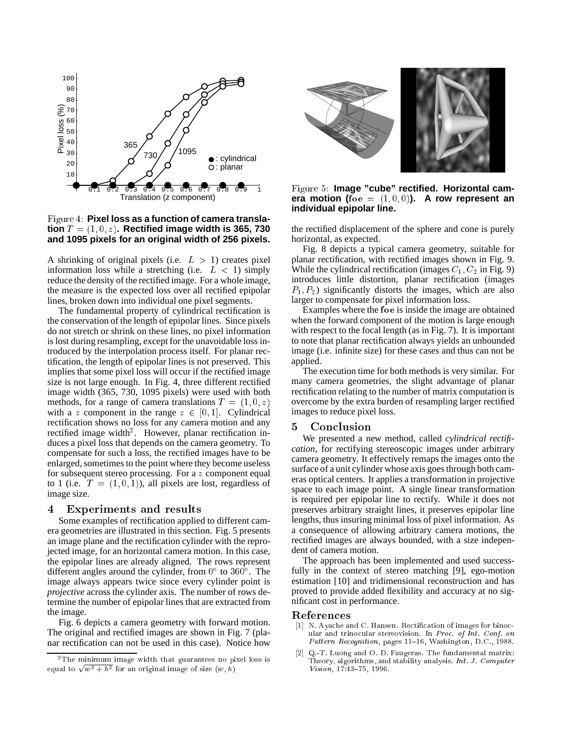

Figure 4: **Pixel loss as a function of camera translation**  $T = (1, 0, z)$ . Rectified image width is 365, 730 **and 1095 pixels for an original width of 256 pixels.**

A shrinking of original pixels (i.e.  $L > 1$ ) creates pixel information loss while a stretching (i.e.  $L < 1$ ) simply reduce the density of the rectified image. For a whole image, the measure is the expected loss over all rectified epipolar lines, broken down into individual one pixel segments.

The fundamental property of cylindrical rectification is the conservation of the length of epipolar lines. Since pixels do not stretch or shrink on these lines, no pixel information is lost during resampling, except for the unavoidable loss introduced by the interpolation process itself. For planar rectification, the length of epipolar lines is not preserved. This implies that some pixel loss will occur if the rectified image size is not large enough. In Fig. 4, three different rectified image width (365, 730, 1095 pixels) were used with both methods, for a range of camera translations  $T = (1, 0, z)$ with a z component in the range  $z \in [0, 1]$ . Cylindrical rectification shows no loss for any camera motion and any rectified image width<sup>2</sup>. However, planar rectification induces a pixel loss that depends on the camera geometry. To compensate for such a loss, the rectified images have to be enlarged, sometimes to the point where they become useless for subsequent stereo processing. For a <sup>z</sup> component equal to 1 (i.e.  $T = (1, 0, 1)$ ), all pixels are lost, regardless of image size.

#### $\overline{4}$ Experiments and results

Some examples of rectification applied to different camera geometries are illustrated in this section. Fig. 5 presents an image plane and the rectification cylinder with the reprojected image, for an horizontal camera motion. In this case, the epipolar lines are already aligned. The rows represent different angles around the cylinder, from  $0^{\circ}$  to  $360^{\circ}$ . The image always appears twice since every cylinder point is *projective* across the cylinder axis. The number of rows determine the number of epipolar lines that are extracted from the image.

Fig. 6 depicts a camera geometry with forward motion. The original and rectified images are shown in Fig. 7 (planar rectification can not be used in this case). Notice how



Figure 5: **Image "cube" rectified. Horizontal cam**era motion ( $foe = (1, 0, 0)$ ). A row represent an **individual epipolar line.**

the rectified displacement of the sphere and cone is purely horizontal, as expected.

Fig. 8 depicts a typical camera geometry, suitable for planar rectification, with rectified images shown in Fig. 9. While the cylindrical rectification (images  $C_1$ ,  $C_2$  in Fig. 9) introduces little distortion, planar rectification (images  $P_1, P_2$ ) significantly distorts the images, which are also larger to compensate for pixel information loss.

Examples where the foe is inside the image are obtained when the forward component of the motion is large enough with respect to the focal length (as in Fig. 7). It is important to note that planar rectification always yields an unbounded image (i.e. infinite size) for these cases and thus can not be applied.

The execution time for both methods is very similar. For many camera geometries, the slight advantage of planar rectification relating to the number of matrix computation is overcome by the extra burden of resampling larger rectified images to reduce pixel loss.

#### <sup>5</sup> Conclusion

We presented a new method, called *cylindrical rectification*, for rectifying stereoscopic images under arbitrary camera geometry. It effectively remaps the images onto the surface of a unit cylinder whose axis goes through both cameras optical centers. It applies a transformation in projective space to each image point. A single linear transformation is required per epipolar line to rectify. While it does not preserves arbitrary straight lines, it preserves epipolar line lengths, thus insuring minimal loss of pixel information. As a consequence of allowing arbitrary camera motions, the rectified images are always bounded, with a size independent of camera motion.

The approach has been implemented and used successfully in the context of stereo matching [9], ego-motion estimation [10] and tridimensional reconstruction and has proved to provide added flexibility and accuracy at no significant cost in performance.

#### References

- [1] N. Ayache and C. Hansen. Rectification of images for binocular and trinocular stereovision. In Proc. of Int. Conf. on Pattern Recognition, pages 11{16, Washington, D.C., 1988.
- [2] Q.-T. Luong and O. D. Faugeras. The fundamental matrix: Theory, algorithms, and stability analysis. Int. J. Computer  $Vision, 17:43-75, 1996.$

<sup>&</sup>lt;sup>2</sup>The minimum image width that guarantees no pixel loss is equal to  $\sqrt{w^2 + h^2}$  for an original image of size  $(w, h)$